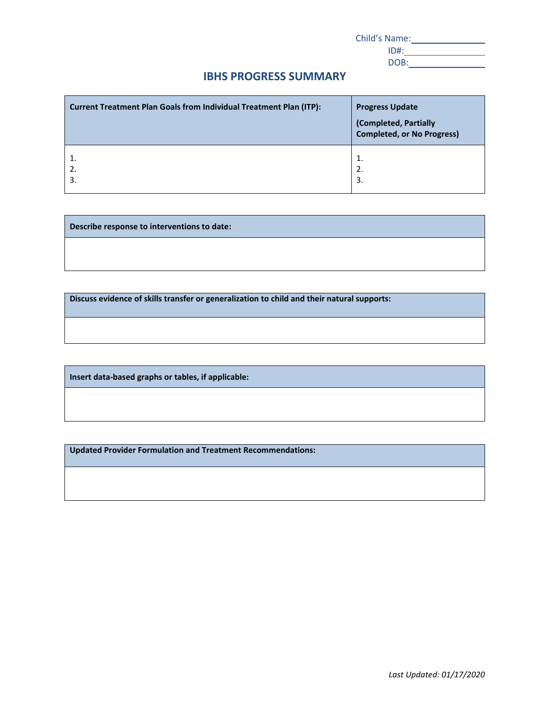| Child's Name: |  |
|---------------|--|
| $ID#$ :       |  |
| DOB:          |  |

## **IBHS PROGRESS SUMMARY**

| Current Treatment Plan Goals from Individual Treatment Plan (ITP): | <b>Progress Update</b><br>(Completed, Partially<br><b>Completed, or No Progress)</b> |
|--------------------------------------------------------------------|--------------------------------------------------------------------------------------|
| 1.                                                                 | 1.                                                                                   |
| 2.                                                                 | 2.                                                                                   |
| 3.                                                                 | 3.                                                                                   |

**Describe response to interventions to date:**

**Discuss evidence of skills transfer or generalization to child and their natural supports:**

**Insert data-based graphs or tables, if applicable:** 

**Updated Provider Formulation and Treatment Recommendations:**